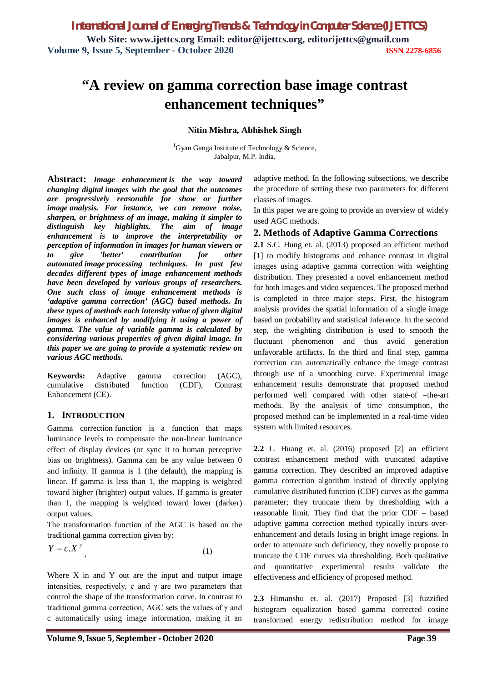# **"A review on gamma correction base image contrast enhancement techniques"**

#### **Nitin Mishra, Abhishek Singh**

<sup>1</sup>Gyan Ganga Institute of Technology & Science, Jabalpur, M.P. India.

**Abstract:** *Image enhancement is the way toward changing digital images with the goal that the outcomes are progressively reasonable for show or further image analysis. For instance, we can remove noise, sharpen, or brightness of an image, making it simpler to distinguish key highlights. The aim of image enhancement is to improve the interpretability or perception of information in images for human viewers or to give 'better' contribution for other automated image processing techniques. In past few decades different types of image enhancement methods have been developed by various groups of researchers. One such class of image enhancement methods is 'adaptive gamma correction' (AGC) based methods. In these types of methods each intensity value of given digital images is enhanced by modifying it using a power of gamma. The value of variable gamma is calculated by considering various properties of given digital image. In this paper we are going to provide a systematic review on various AGC methods.*

**Keywords:** Adaptive gamma correction (AGC), cumulative distributed function (CDF), Contrast Enhancement (CE).

#### **1. INTRODUCTION**

Gamma correction function is a function that maps luminance levels to compensate the non-linear luminance effect of display devices (or sync it to human perceptive bias on brightness). Gamma can be any value between 0 and infinity. If gamma is 1 (the default), the mapping is linear. If gamma is less than 1, the mapping is weighted toward higher (brighter) output values. If gamma is greater than 1, the mapping is weighted toward lower (darker) output values.

The transformation function of the AGC is based on the traditional gamma correction given by:

$$
Y = c \cdot X^{\gamma} \tag{1}
$$

Where  $X$  in and  $Y$  out are the input and output image intensities, respectively, c and  $\gamma$  are two parameters that control the shape of the transformation curve. In contrast to traditional gamma correction, AGC sets the values of  $\gamma$  and c automatically using image information, making it an

adaptive method. In the following subsections, we describe the procedure of setting these two parameters for different classes of images.

In this paper we are going to provide an overview of widely used AGC methods.

### **2. Methods of Adaptive Gamma Corrections**

**2.1** S.C. Hung et. al. (2013) proposed an efficient method [1] to modify histograms and enhance contrast in digital images using adaptive gamma correction with weighting distribution. They presented a novel enhancement method for both images and video sequences. The proposed method is completed in three major steps. First, the histogram analysis provides the spatial information of a single image based on probability and statistical inference. In the second step, the weighting distribution is used to smooth the fluctuant phenomenon and thus avoid generation unfavorable artifacts. In the third and final step, gamma correction can automatically enhance the image contrast through use of a smoothing curve. Experimental image enhancement results demonstrate that proposed method performed well compared with other state-of –the-art methods. By the analysis of time consumption, the proposed method can be implemented in a real-time video system with limited resources.

**2.2** L. Huang et. al. (2016) proposed [2] an efficient contrast enhancement method with truncated adaptive gamma correction. They described an improved adaptive gamma correction algorithm instead of directly applying cumulative distributed function (CDF) curves as the gamma parameter; they truncate them by thresholding with a reasonable limit. They find that the prior CDF – based adaptive gamma correction method typically incurs overenhancement and details losing in bright image regions. In order to attenuate such deficiency, they novelly propose to truncate the CDF curves via thresholding. Both qualitative and quantitative experimental results validate the effectiveness and efficiency of proposed method.

**2.3** Himanshu et. al. (2017) Proposed [3] fuzzified histogram equalization based gamma corrected cosine transformed energy redistribution method for image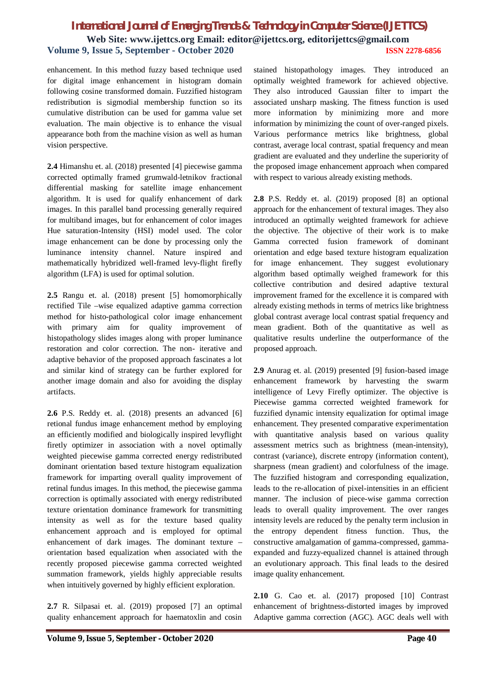## *International Journal of Emerging Trends & Technology in Computer Science (IJETTCS)* **Web Site: www.ijettcs.org Email: editor@ijettcs.org, editorijettcs@gmail.com Volume 9, Issue 5, September - October 2020 ISSN 2278-6856**

enhancement. In this method fuzzy based technique used for digital image enhancement in histogram domain following cosine transformed domain. Fuzzified histogram redistribution is sigmodial membership function so its cumulative distribution can be used for gamma value set evaluation. The main objective is to enhance the visual appearance both from the machine vision as well as human vision perspective.

**2.4** Himanshu et. al. (2018) presented [4] piecewise gamma corrected optimally framed grumwald-letnikov fractional differential masking for satellite image enhancement algorithm. It is used for qualify enhancement of dark images. In this parallel band processing generally required for multiband images, but for enhancement of color images Hue saturation-Intensity (HSI) model used. The color image enhancement can be done by processing only the luminance intensity channel. Nature inspired and mathematically hybridized well-framed levy-flight firefly algorithm (LFA) is used for optimal solution.

**2.5** Rangu et. al. (2018) present [5] homomorphically rectified Tile –wise equalized adaptive gamma correction method for histo-pathological color image enhancement with primary aim for quality improvement of histopathology slides images along with proper luminance restoration and color correction. The non- iterative and adaptive behavior of the proposed approach fascinates a lot and similar kind of strategy can be further explored for another image domain and also for avoiding the display artifacts.

**2.6** P.S. Reddy et. al. (2018) presents an advanced [6] retional fundus image enhancement method by employing an efficiently modified and biologically inspired levyflight firetly optimizer in association with a novel optimally weighted piecewise gamma corrected energy redistributed dominant orientation based texture histogram equalization framework for imparting overall quality improvement of retinal fundus images. In this method, the piecewise gamma correction is optimally associated with energy redistributed texture orientation dominance framework for transmitting intensity as well as for the texture based quality enhancement approach and is employed for optimal enhancement of dark images. The dominant texture – orientation based equalization when associated with the recently proposed piecewise gamma corrected weighted summation framework, yields highly appreciable results when intuitively governed by highly efficient exploration.

**2.7** R. Silpasai et. al. (2019) proposed [7] an optimal quality enhancement approach for haematoxlin and cosin

stained histopathology images. They introduced an optimally weighted framework for achieved objective. They also introduced Gaussian filter to impart the associated unsharp masking. The fitness function is used more information by minimizing more and more information by minimizing the count of over-ranged pixels. Various performance metrics like brightness, global contrast, average local contrast, spatial frequency and mean gradient are evaluated and they underline the superiority of the proposed image enhancement approach when compared with respect to various already existing methods.

**2.8** P.S. Reddy et. al. (2019) proposed [8] an optional approach for the enhancement of textural images. They also introduced an optimally weighted framework for achieve the objective. The objective of their work is to make Gamma corrected fusion framework of dominant orientation and edge based texture histogram equalization for image enhancement. They suggest evolutionary algorithm based optimally weighed framework for this collective contribution and desired adaptive textural improvement framed for the excellence it is compared with already existing methods in terms of metrics like brightness global contrast average local contrast spatial frequency and mean gradient. Both of the quantitative as well as qualitative results underline the outperformance of the proposed approach.

**2.9** Anurag et. al. (2019) presented [9] fusion-based image enhancement framework by harvesting the swarm intelligence of Levy Firefly optimizer. The objective is Piecewise gamma corrected weighted framework for fuzzified dynamic intensity equalization for optimal image enhancement. They presented comparative experimentation with quantitative analysis based on various quality assessment metrics such as brightness (mean-intensity), contrast (variance), discrete entropy (information content), sharpness (mean gradient) and colorfulness of the image. The fuzzified histogram and corresponding equalization, leads to the re-allocation of pixel-intensities in an efficient manner. The inclusion of piece-wise gamma correction leads to overall quality improvement. The over ranges intensity levels are reduced by the penalty term inclusion in the entropy dependent fitness function. Thus, the constructive amalgamation of gamma-compressed, gammaexpanded and fuzzy-equalized channel is attained through an evolutionary approach. This final leads to the desired image quality enhancement.

**2.10** G. Cao et. al. (2017) proposed [10] Contrast enhancement of brightness-distorted images by improved Adaptive gamma correction (AGC). AGC deals well with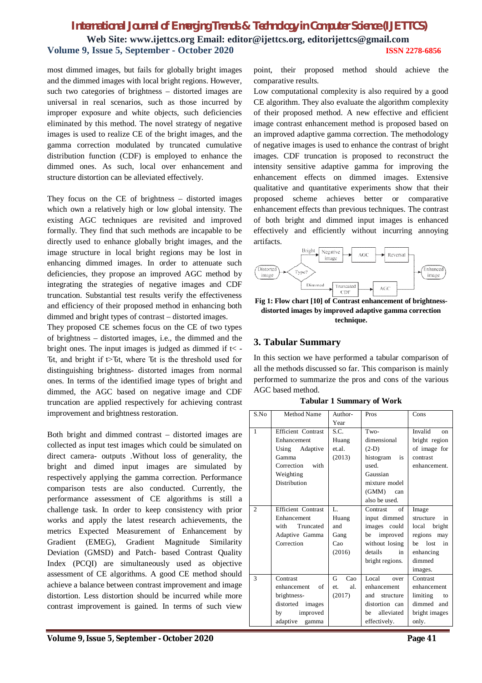## *International Journal of Emerging Trends & Technology in Computer Science (IJETTCS)* **Web Site: www.ijettcs.org Email: editor@ijettcs.org, editorijettcs@gmail.com Volume 9, Issue 5, September - October 2020 ISSN 2278-6856**

most dimmed images, but fails for globally bright images and the dimmed images with local bright regions. However, such two categories of brightness – distorted images are universal in real scenarios, such as those incurred by improper exposure and white objects, such deficiencies eliminated by this method. The novel strategy of negative images is used to realize CE of the bright images, and the gamma correction modulated by truncated cumulative distribution function (CDF) is employed to enhance the dimmed ones. As such, local over enhancement and structure distortion can be alleviated effectively.

They focus on the CE of brightness – distorted images which own a relatively high or low global intensity. The existing AGC techniques are revisited and improved formally. They find that such methods are incapable to be directly used to enhance globally bright images, and the image structure in local bright regions may be lost in enhancing dimmed images. In order to attenuate such deficiencies, they propose an improved AGC method by integrating the strategies of negative images and CDF truncation. Substantial test results verify the effectiveness and efficiency of their proposed method in enhancing both dimmed and bright types of contrast – distorted images.

They proposed CE schemes focus on the CE of two types of brightness – distorted images, i.e., the dimmed and the bright ones. The input images is judged as dimmed if  $t$  < -Ut, and bright if  $t > Ut$ , where Ut is the threshold used for distinguishing brightness- distorted images from normal ones. In terms of the identified image types of bright and dimmed, the AGC based on negative image and CDF truncation are applied respectively for achieving contrast improvement and brightness restoration.

Both bright and dimmed contrast – distorted images are collected as input test images which could be simulated on direct camera- outputs .Without loss of generality, the bright and dimed input images are simulated by respectively applying the gamma correction. Performance comparison tests are also conducted. Currently, the performance assessment of CE algorithms is still a challenge task. In order to keep consistency with prior works and apply the latest research achievements, the metrics Expected Measurement of Enhancement by Gradient (EMEG), Gradient Magnitude Similarity Deviation (GMSD) and Patch- based Contrast Quality Index (PCQI) are simultaneously used as objective assessment of CE algorithms. A good CE method should achieve a balance between contrast improvement and image distortion. Less distortion should be incurred while more contrast improvement is gained. In terms of such view

point, their proposed method should achieve the comparative results.

Low computational complexity is also required by a good CE algorithm. They also evaluate the algorithm complexity of their proposed method. A new effective and efficient image contrast enhancement method is proposed based on an improved adaptive gamma correction. The methodology of negative images is used to enhance the contrast of bright images. CDF truncation is proposed to reconstruct the intensity sensitive adaptive gamma for improving the enhancement effects on dimmed images. Extensive qualitative and quantitative experiments show that their proposed scheme achieves better or comparative enhancement effects than previous techniques. The contrast of both bright and dimmed input images is enhanced effectively and efficiently without incurring annoying artifacts.



**Fig 1: Flow chart [10] of Contrast enhancement of brightnessdistorted images by improved adaptive gamma correction technique.**

#### **3. Tabular Summary**

In this section we have performed a tabular comparison of all the methods discussed so far. This comparison is mainly performed to summarize the pros and cons of the various AGC based method.

**Tabular 1 Summary of Work**

| S.No           | Method Name               | Author-      | Pros                       | Cons                   |  |  |
|----------------|---------------------------|--------------|----------------------------|------------------------|--|--|
|                |                           | Year         |                            |                        |  |  |
| $\mathbf{1}$   | <b>Efficient Contrast</b> | S.C.         | Two-                       | Invalid<br>$_{\rm on}$ |  |  |
|                | Enhancement               | Huang        | dimensional                | bright region          |  |  |
|                | Using Adaptive            | et.al.       | $(2-D)$                    | of image for           |  |  |
|                | Gamma                     | (2013)       | histogram<br>$\frac{1}{1}$ | contrast               |  |  |
|                | Correction with           |              | used.                      | enhancement.           |  |  |
|                | Weighting                 |              | Gaussian                   |                        |  |  |
|                | <b>Distribution</b>       |              | mixture model              |                        |  |  |
|                |                           |              | (GMM)<br>can               |                        |  |  |
|                |                           |              | also be used.              |                        |  |  |
| $\overline{2}$ | Efficient Contrast        | $\mathbf{L}$ | of<br>Contrast             | Image                  |  |  |
|                | Enhancement               | Huang        | input dimmed               | structure<br>in        |  |  |
|                | with<br>Truncated         | and          | images could               | local bright           |  |  |
|                | Adaptive Gamma            | Gang         | be improved                | regions may            |  |  |
|                | Correction                | Cao          | without losing             | lost<br>be<br>in       |  |  |
|                |                           | (2016)       | details<br>in              | enhancing              |  |  |
|                |                           |              | bright regions.            | dimmed                 |  |  |
|                |                           |              |                            | images.                |  |  |
| 3              | Contrast                  | Cao<br>G     | Local<br>over              | Contrast               |  |  |
|                | of<br>enhancement         | al.<br>et.   | enhancement                | enhancement            |  |  |
|                | brightness-               | (2017)       | and<br>structure           | limiting<br>to         |  |  |
|                | distorted<br>images       |              | distortion can             | dimmed and             |  |  |
|                | by<br>improved            |              | alleviated<br>be           | bright images          |  |  |
|                | adaptive<br>gamma         |              | effectively.               | only.                  |  |  |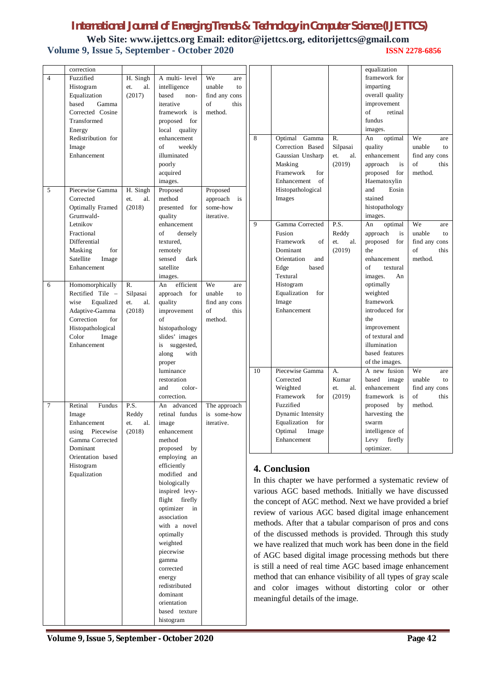## *International Journal of Emerging Trends & Technology in Computer Science (IJETTCS)*

**Web Site: www.ijettcs.org Email: editor@ijettcs.org, editorijettcs@gmail.com Volume 9, Issue 5, September - October 2020 ISSN 2278-6856**

|                | correction                         |            |                                |                       |                                                                                                                                                                                                                                                          |                                                    |                     | equalization                  |                     |  |
|----------------|------------------------------------|------------|--------------------------------|-----------------------|----------------------------------------------------------------------------------------------------------------------------------------------------------------------------------------------------------------------------------------------------------|----------------------------------------------------|---------------------|-------------------------------|---------------------|--|
| $\overline{4}$ | Fuzzified                          | H. Singh   | A multi-level                  | We<br>are             |                                                                                                                                                                                                                                                          |                                                    |                     | framework for                 |                     |  |
|                | Histogram                          | et.<br>al. | intelligence                   | unable<br>to          |                                                                                                                                                                                                                                                          |                                                    |                     | imparting                     |                     |  |
|                | Equalization                       | (2017)     | based<br>non-                  | find any cons         |                                                                                                                                                                                                                                                          |                                                    |                     | overall quality               |                     |  |
|                | Gamma<br>based<br>Corrected Cosine |            | iterative                      | this<br>of<br>method. |                                                                                                                                                                                                                                                          |                                                    |                     | improvement<br>of<br>retinal  |                     |  |
|                | Transformed                        |            | framework is<br>proposed for   |                       |                                                                                                                                                                                                                                                          |                                                    |                     | fundus                        |                     |  |
|                | Energy                             |            | local quality                  |                       |                                                                                                                                                                                                                                                          |                                                    |                     | images.                       |                     |  |
|                | Redistribution for                 |            | enhancement                    |                       | 8                                                                                                                                                                                                                                                        | Optimal Gamma                                      | R.                  | An<br>optimal                 | We<br>are           |  |
|                | Image                              |            | of<br>weekly                   |                       |                                                                                                                                                                                                                                                          | Correction Based                                   | Silpasai            | quality                       | unable<br>to        |  |
|                | Enhancement                        |            | illuminated                    |                       |                                                                                                                                                                                                                                                          | Gaussian Unsharp                                   | et.<br>al.          | enhancement                   | find any cons       |  |
|                |                                    |            | poorly                         |                       |                                                                                                                                                                                                                                                          | Masking                                            | (2019)              | approach<br>is                | of<br>this          |  |
|                |                                    |            | acquired                       |                       |                                                                                                                                                                                                                                                          | Framework<br>for                                   |                     | proposed<br>for               | method.             |  |
|                |                                    |            | images.                        |                       |                                                                                                                                                                                                                                                          | Enhancement<br>of                                  |                     | Haematoxylin                  |                     |  |
| 5              | Piecewise Gamma                    | H. Singh   | Proposed                       | Proposed              |                                                                                                                                                                                                                                                          | Histopathological                                  |                     | and<br>Eosin                  |                     |  |
|                | Corrected                          | et.<br>al. | method                         | approach is           |                                                                                                                                                                                                                                                          | Images                                             |                     | stained                       |                     |  |
|                | <b>Optimally Framed</b>            | (2018)     | presented for                  | some-how              |                                                                                                                                                                                                                                                          |                                                    |                     | histopathology                |                     |  |
|                | Grumwald-                          |            | quality                        | iterative.            |                                                                                                                                                                                                                                                          |                                                    |                     | images.                       |                     |  |
|                | Letnikov                           |            | enhancement                    |                       | 9                                                                                                                                                                                                                                                        | Gamma Corrected                                    | P.S.                | An<br>optimal                 | We<br>are           |  |
|                | Fractional                         |            | of<br>densely                  |                       |                                                                                                                                                                                                                                                          | Fusion                                             | Reddy               | approach<br>is                | unable<br>to        |  |
|                | Differential                       |            | textured,                      |                       |                                                                                                                                                                                                                                                          | of<br>Framework                                    | al.<br>et.          | proposed<br>for               | find any cons       |  |
|                | Masking<br>for                     |            | remotely<br>sensed             |                       |                                                                                                                                                                                                                                                          | Dominant                                           | (2019)              | the                           | of<br>this          |  |
|                | Satellite<br>Image<br>Enhancement  |            | dark<br>satellite              |                       |                                                                                                                                                                                                                                                          | Orientation<br>and<br>Edge<br>based                |                     | enhancement<br>of<br>textural | method.             |  |
|                |                                    |            | images.                        |                       |                                                                                                                                                                                                                                                          | Textural                                           |                     | images.<br>An                 |                     |  |
| 6              | Homomorphically                    | R.         | efficient<br>An                | We<br>are             |                                                                                                                                                                                                                                                          | Histogram                                          |                     | optimally                     |                     |  |
|                | Rectified Tile -                   | Silpasai   | approach for                   | unable<br>to          |                                                                                                                                                                                                                                                          | Equalization<br>for                                |                     | weighted                      |                     |  |
|                | wise<br>Equalized                  | al.<br>et. | quality                        | find any cons         |                                                                                                                                                                                                                                                          | Image                                              |                     | framework                     |                     |  |
|                | Adaptive-Gamma                     | (2018)     | improvement                    | of<br>this            |                                                                                                                                                                                                                                                          | Enhancement                                        |                     | introduced for                |                     |  |
|                | Correction<br>for                  |            | of                             | method.               |                                                                                                                                                                                                                                                          |                                                    |                     | the                           |                     |  |
|                | Histopathological                  |            | histopathology                 |                       |                                                                                                                                                                                                                                                          |                                                    |                     | improvement                   |                     |  |
|                | Color<br>Image                     |            | slides' images                 |                       |                                                                                                                                                                                                                                                          |                                                    |                     | of textural and               |                     |  |
|                | Enhancement                        |            | suggested,<br>is               |                       |                                                                                                                                                                                                                                                          |                                                    |                     | illumination                  |                     |  |
|                |                                    |            | along<br>with                  |                       |                                                                                                                                                                                                                                                          |                                                    |                     | based features                |                     |  |
|                |                                    |            | proper                         |                       |                                                                                                                                                                                                                                                          |                                                    |                     | of the images.                |                     |  |
|                |                                    |            | luminance                      |                       | 10                                                                                                                                                                                                                                                       | Piecewise Gamma                                    | А.                  | A new fusion                  | We<br>are<br>unable |  |
|                |                                    |            | restoration<br>and<br>color-   |                       |                                                                                                                                                                                                                                                          | Corrected<br>Weighted                              | Kumar<br>et.<br>al. | based image<br>enhancement    | to<br>find any cons |  |
|                |                                    |            | correction.                    |                       |                                                                                                                                                                                                                                                          | Framework<br>for                                   | (2019)              | framework is                  | of<br>this          |  |
| 7              | Retinal<br>Fundus                  | P.S.       | An<br>advanced                 | The approach          |                                                                                                                                                                                                                                                          | Fuzzified                                          |                     | proposed<br>by                | method.             |  |
|                | Image                              | Reddy      | retinal fundus                 | is some-how           |                                                                                                                                                                                                                                                          | Dynamic Intensity                                  |                     | harvesting the                |                     |  |
|                | Enhancement                        | et.<br>al. | image                          | iterative.            |                                                                                                                                                                                                                                                          | Equalization for                                   |                     | swarm                         |                     |  |
|                | using Piecewise                    | (2018)     | enhancement                    |                       |                                                                                                                                                                                                                                                          | Optimal<br>Image                                   |                     | intelligence of               |                     |  |
|                | Gamma Corrected                    |            | method                         |                       |                                                                                                                                                                                                                                                          | Enhancement                                        |                     | firefly<br>Levy               |                     |  |
|                | Dominant                           |            | proposed<br>by                 |                       |                                                                                                                                                                                                                                                          |                                                    |                     | optimizer.                    |                     |  |
|                | Orientation based                  |            | employing an                   |                       |                                                                                                                                                                                                                                                          |                                                    |                     |                               |                     |  |
|                | Histogram                          |            | efficiently                    |                       | 4. Conclusion<br>In this chapter we have performed a systematic review of<br>various AGC based methods. Initially we have discussed<br>the concept of AGC method. Next we have provided a brief<br>review of various AGC based digital image enhancement |                                                    |                     |                               |                     |  |
|                | Equalization                       |            | modified and                   |                       |                                                                                                                                                                                                                                                          |                                                    |                     |                               |                     |  |
|                |                                    |            | biologically<br>inspired levy- |                       |                                                                                                                                                                                                                                                          |                                                    |                     |                               |                     |  |
|                |                                    |            | flight firefly                 |                       |                                                                                                                                                                                                                                                          |                                                    |                     |                               |                     |  |
|                |                                    |            | optimizer<br>$\sin$            |                       |                                                                                                                                                                                                                                                          |                                                    |                     |                               |                     |  |
|                |                                    |            | association                    |                       |                                                                                                                                                                                                                                                          |                                                    |                     |                               |                     |  |
|                |                                    |            | with a novel                   |                       | methods. After that a tabular comparison of pros and cons<br>of the discussed methods is provided. Through this study<br>we have realized that much work has been done in the field<br>of AGC based digital image processing methods but there           |                                                    |                     |                               |                     |  |
|                |                                    |            | optimally                      |                       |                                                                                                                                                                                                                                                          |                                                    |                     |                               |                     |  |
|                |                                    |            | weighted                       |                       |                                                                                                                                                                                                                                                          |                                                    |                     |                               |                     |  |
|                |                                    |            | piecewise                      |                       |                                                                                                                                                                                                                                                          |                                                    |                     |                               |                     |  |
|                |                                    |            | gamma                          |                       |                                                                                                                                                                                                                                                          |                                                    |                     |                               |                     |  |
|                |                                    |            | corrected                      |                       | is still a need of real time AGC based image enhancement<br>method that can enhance visibility of all types of gray scale                                                                                                                                |                                                    |                     |                               |                     |  |
|                |                                    |            | energy                         |                       |                                                                                                                                                                                                                                                          |                                                    |                     |                               |                     |  |
|                |                                    |            | redistributed                  |                       |                                                                                                                                                                                                                                                          | and color images without distorting color or other |                     |                               |                     |  |
|                |                                    |            | dominant                       |                       |                                                                                                                                                                                                                                                          | meaningful details of the image.                   |                     |                               |                     |  |
|                |                                    |            | orientation<br>based texture   |                       |                                                                                                                                                                                                                                                          |                                                    |                     |                               |                     |  |
|                |                                    |            | histogram                      |                       |                                                                                                                                                                                                                                                          |                                                    |                     |                               |                     |  |
|                |                                    |            |                                |                       |                                                                                                                                                                                                                                                          |                                                    |                     |                               |                     |  |